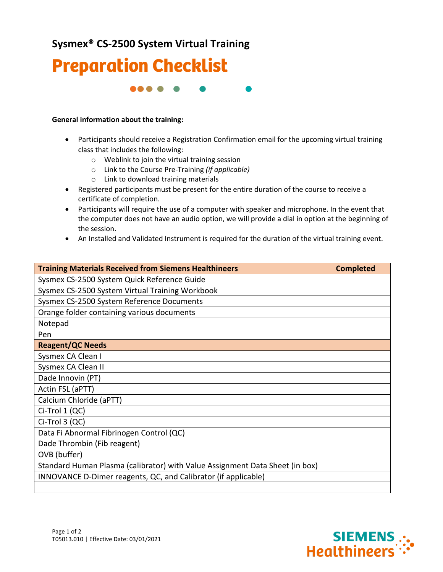**Sysmex® CS-2500 System Virtual Training**



88 S S

## **General information about the training:**

- Participants should receive a Registration Confirmation email for the upcoming virtual training class that includes the following:
	- o Weblink to join the virtual training session
	- o Link to the Course Pre-Training *(if applicable)*
	- o Link to download training materials
- Registered participants must be present for the entire duration of the course to receive a certificate of completion.
- Participants will require the use of a computer with speaker and microphone. In the event that the computer does not have an audio option, we will provide a dial in option at the beginning of the session.
- An Installed and Validated Instrument is required for the duration of the virtual training event.

| <b>Training Materials Received from Siemens Healthineers</b>                 | <b>Completed</b> |
|------------------------------------------------------------------------------|------------------|
| Sysmex CS-2500 System Quick Reference Guide                                  |                  |
| Sysmex CS-2500 System Virtual Training Workbook                              |                  |
| Sysmex CS-2500 System Reference Documents                                    |                  |
| Orange folder containing various documents                                   |                  |
| Notepad                                                                      |                  |
| Pen                                                                          |                  |
| <b>Reagent/QC Needs</b>                                                      |                  |
| Sysmex CA Clean I                                                            |                  |
| Sysmex CA Clean II                                                           |                  |
| Dade Innovin (PT)                                                            |                  |
| Actin FSL (aPTT)                                                             |                  |
| Calcium Chloride (aPTT)                                                      |                  |
| Ci-Trol 1 (QC)                                                               |                  |
| Ci-Trol 3 (QC)                                                               |                  |
| Data Fi Abnormal Fibrinogen Control (QC)                                     |                  |
| Dade Thrombin (Fib reagent)                                                  |                  |
| OVB (buffer)                                                                 |                  |
| Standard Human Plasma (calibrator) with Value Assignment Data Sheet (in box) |                  |
| INNOVANCE D-Dimer reagents, QC, and Calibrator (if applicable)               |                  |
|                                                                              |                  |